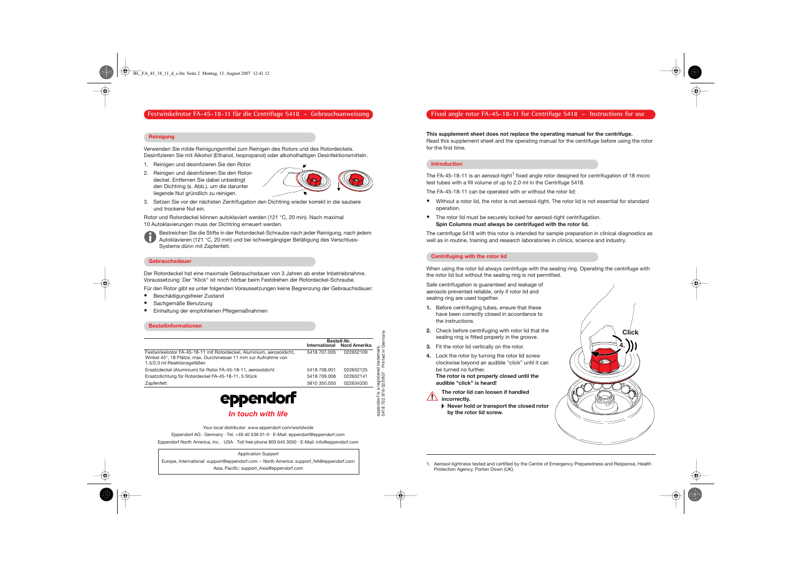# **Fixed angle rotor FA-45-18-11 for Centrifuge 5418 – Instructions for use**

### **This supplement sheet does not replace the operating manual for the centrifuge.**

Read this supplement sheet and the operating manual for the centrifuge before using the rotor for the first time.

#### **Introduction**

The FA-45-18-11 is an aerosol-tight<sup>1</sup> fixed angle rotor designed for centrifugation of 18 micro test tubes with a fill volume of up to 2.0 ml in the Centrifuge 5418.

The FA-45-18-11 can be operated with or without the rotor lid:

- • Without a rotor lid, the rotor is not aerosol-tight. The rotor lid is not essential for standard operation.
- The rotor lid must be securely locked for aerosol-tight centrifugation. **Spin Columns must always be centrifuged with the rotor lid.**

The centrifuge 5418 with this rotor is intended for sample preparation in clinical diagnostics as well as in routine, training and research laboratories in clinics, science and industry.

#### **Centrifuging with the rotor lid**

When using the rotor lid always centrifuge with the sealing ring. Operating the centrifuge with the rotor lid but without the sealing ring is not permitted.

Safe centrifugation is guaranteed and leakage of aerosols prevented reliable, only if rotor lid and sealing ring are used together.

- **1.** Before centrifuging tubes, ensure that these have been correctly closed in accordance to the instructions.
- **2.** Check before centrifuging with rotor lid that the sealing ring is fitted properly in the groove.
- **3.** Fit the rotor lid vertically on the rotor.
- **4.** Lock the rotor by turning the rotor lid screw clockwise beyond an audible "click" until it can be turned no further.

**The rotor is not properly closed until the audible "click" is heard!**



**The rotor lid can loosen if handled incorrectly.** 

> **Never hold or transport the closed rotor by the rotor lid screw.**